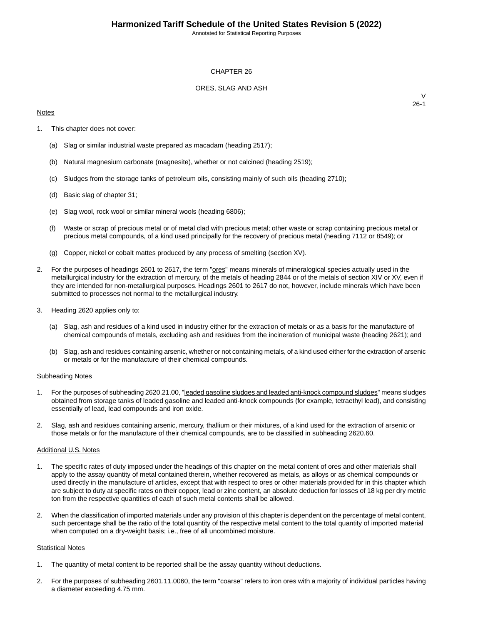Annotated for Statistical Reporting Purposes

#### CHAPTER 26

### ORES, SLAG AND ASH

#### **Notes**

 $\vee$ 26-1

- 1. This chapter does not cover:
	- (a) Slag or similar industrial waste prepared as macadam (heading 2517);
	- (b) Natural magnesium carbonate (magnesite), whether or not calcined (heading 2519);
	- (c) Sludges from the storage tanks of petroleum oils, consisting mainly of such oils (heading 2710);
	- (d) Basic slag of chapter 31;
	- (e) Slag wool, rock wool or similar mineral wools (heading 6806);
	- (f) Waste or scrap of precious metal or of metal clad with precious metal; other waste or scrap containing precious metal or precious metal compounds, of a kind used principally for the recovery of precious metal (heading 7112 or 8549); or
	- (g) Copper, nickel or cobalt mattes produced by any process of smelting (section XV).
- 2. For the purposes of headings 2601 to 2617, the term "**ores"** means minerals of mineralogical species actually used in the metallurgical industry for the extraction of mercury, of the metals of heading 2844 or of the metals of section XIV or XV, even if they are intended for non-metallurgical purposes. Headings 2601 to 2617 do not, however, include minerals which have been submitted to processes not normal to the metallurgical industry.
- 3. Heading 2620 applies only to:
	- (a) Slag, ash and residues of a kind used in industry either for the extraction of metals or as a basis for the manufacture of chemical compounds of metals, excluding ash and residues from the incineration of municipal waste (heading 2621); and
	- (b) Slag, ash and residues containing arsenic, whether or not containing metals, of a kind used either for the extraction of arsenic or metals or for the manufacture of their chemical compounds.

#### Subheading Notes

- 1. For the purposes of subheading 2620.21.00, "leaded gasoline sludges and leaded anti-knock compound sludges" means sludges obtained from storage tanks of leaded gasoline and leaded anti-knock compounds (for example, tetraethyl lead), and consisting essentially of lead, lead compounds and iron oxide.
- 2. Slag, ash and residues containing arsenic, mercury, thallium or their mixtures, of a kind used for the extraction of arsenic or those metals or for the manufacture of their chemical compounds, are to be classified in subheading 2620.60.

#### Additional U.S. Notes

- 1. The specific rates of duty imposed under the headings of this chapter on the metal content of ores and other materials shall apply to the assay quantity of metal contained therein, whether recovered as metals, as alloys or as chemical compounds or used directly in the manufacture of articles, except that with respect to ores or other materials provided for in this chapter which are subject to duty at specific rates on their copper, lead or zinc content, an absolute deduction for losses of 18 kg per dry metric ton from the respective quantities of each of such metal contents shall be allowed.
- 2. When the classification of imported materials under any provision of this chapter is dependent on the percentage of metal content, such percentage shall be the ratio of the total quantity of the respective metal content to the total quantity of imported material when computed on a dry-weight basis; i.e., free of all uncombined moisture.

#### **Statistical Notes**

- 1. The quantity of metal content to be reported shall be the assay quantity without deductions.
- 2. For the purposes of subheading 2601.11.0060, the term "coarse" refers to iron ores with a majority of individual particles having a diameter exceeding 4.75 mm.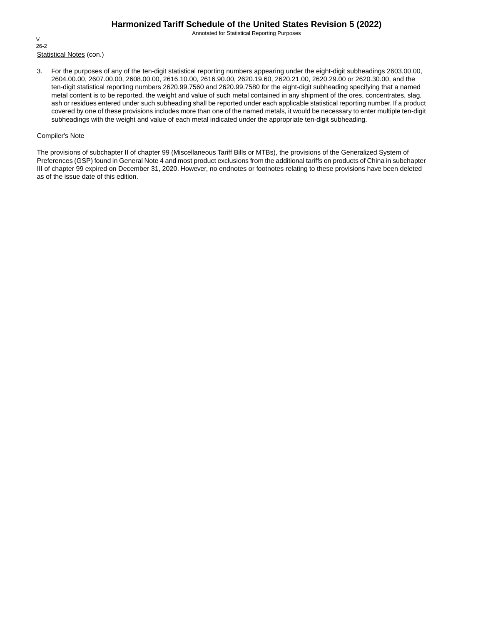Annotated for Statistical Reporting Purposes

Statistical Notes (con.) V 26-2

3. For the purposes of any of the ten-digit statistical reporting numbers appearing under the eight-digit subheadings 2603.00.00, 2604.00.00, 2607.00.00, 2608.00.00, 2616.10.00, 2616.90.00, 2620.19.60, 2620.21.00, 2620.29.00 or 2620.30.00, and the ten-digit statistical reporting numbers 2620.99.7560 and 2620.99.7580 for the eight-digit subheading specifying that a named metal content is to be reported, the weight and value of such metal contained in any shipment of the ores, concentrates, slag, ash or residues entered under such subheading shall be reported under each applicable statistical reporting number. If a product covered by one of these provisions includes more than one of the named metals, it would be necessary to enter multiple ten-digit subheadings with the weight and value of each metal indicated under the appropriate ten-digit subheading.

### Compiler's Note

The provisions of subchapter II of chapter 99 (Miscellaneous Tariff Bills or MTBs), the provisions of the Generalized System of Preferences (GSP) found in General Note 4 and most product exclusions from the additional tariffs on products of China in subchapter III of chapter 99 expired on December 31, 2020. However, no endnotes or footnotes relating to these provisions have been deleted as of the issue date of this edition.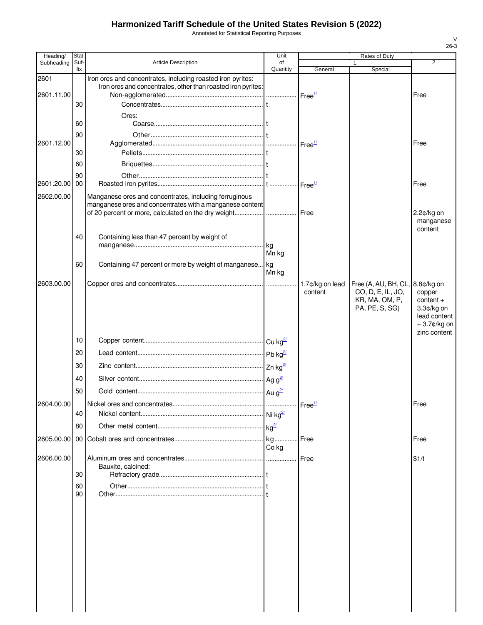Annotated for Statistical Reporting Purposes

|            |                                                                                                         | Unit                                                                                 |                                                                                                                                                                | Rates of Duty                                         |                                                                                       |
|------------|---------------------------------------------------------------------------------------------------------|--------------------------------------------------------------------------------------|----------------------------------------------------------------------------------------------------------------------------------------------------------------|-------------------------------------------------------|---------------------------------------------------------------------------------------|
| fix        |                                                                                                         | Quantity                                                                             | General                                                                                                                                                        | Special                                               | $\overline{2}$                                                                        |
| 30         | Iron ores and concentrates, including roasted iron pyrites:                                             |                                                                                      |                                                                                                                                                                |                                                       | Free                                                                                  |
| 60         | Ores:                                                                                                   |                                                                                      |                                                                                                                                                                |                                                       |                                                                                       |
| 90<br>30   |                                                                                                         |                                                                                      |                                                                                                                                                                |                                                       | Free                                                                                  |
| 60         |                                                                                                         |                                                                                      |                                                                                                                                                                |                                                       |                                                                                       |
| 00         |                                                                                                         |                                                                                      |                                                                                                                                                                |                                                       | Free                                                                                  |
|            |                                                                                                         |                                                                                      |                                                                                                                                                                |                                                       | $2.2¢/kg$ on<br>manganese<br>content                                                  |
| 40         | Containing less than 47 percent by weight of                                                            | Mn kg                                                                                |                                                                                                                                                                |                                                       |                                                                                       |
| 60         | Containing 47 percent or more by weight of manganese                                                    | Mn kg                                                                                |                                                                                                                                                                |                                                       |                                                                                       |
|            |                                                                                                         |                                                                                      | 1.7¢/kg on lead<br>content                                                                                                                                     | CO, D, E, IL, JO,<br>KR, MA, OM, P,<br>PA, PE, S, SG) | copper<br>$content +$<br>3.3¢/kg on<br>lead content<br>$+3.7$ ¢/kg on<br>zinc content |
| 10         |                                                                                                         |                                                                                      |                                                                                                                                                                |                                                       |                                                                                       |
| 20         |                                                                                                         |                                                                                      |                                                                                                                                                                |                                                       |                                                                                       |
| 30         |                                                                                                         |                                                                                      |                                                                                                                                                                |                                                       |                                                                                       |
| 40         |                                                                                                         |                                                                                      |                                                                                                                                                                |                                                       |                                                                                       |
| 50         |                                                                                                         |                                                                                      |                                                                                                                                                                |                                                       |                                                                                       |
|            | Nickel ores and concentrates.                                                                           |                                                                                      |                                                                                                                                                                |                                                       | Free                                                                                  |
| 40         |                                                                                                         |                                                                                      |                                                                                                                                                                |                                                       |                                                                                       |
| 80         |                                                                                                         |                                                                                      |                                                                                                                                                                |                                                       |                                                                                       |
|            |                                                                                                         | Co kg                                                                                | Free                                                                                                                                                           |                                                       | Free                                                                                  |
| 30         | Bauxite, calcined:                                                                                      |                                                                                      | Free                                                                                                                                                           |                                                       | \$1/t                                                                                 |
| 60<br>90   |                                                                                                         |                                                                                      |                                                                                                                                                                |                                                       |                                                                                       |
|            |                                                                                                         |                                                                                      |                                                                                                                                                                |                                                       |                                                                                       |
| 2602.00.00 | Stat.<br>Suf-<br>2601.11.00<br>2601.12.00<br>90<br>2601.20.00<br>2604.00.00<br>2605.00.00<br>2606.00.00 | <b>Article Description</b><br>Manganese ores and concentrates, including ferruginous | of<br>Iron ores and concentrates, other than roasted iron pyrites:<br>manganese ores and concentrates with a manganese content<br>  kg<br>Ag $g^2$<br>Au $g^2$ | $\textsf{Free}^{\frac{1}{2}}$<br>Free <sup>1/</sup>   | Free (A, AU, BH, CL, 8.8¢/kg on                                                       |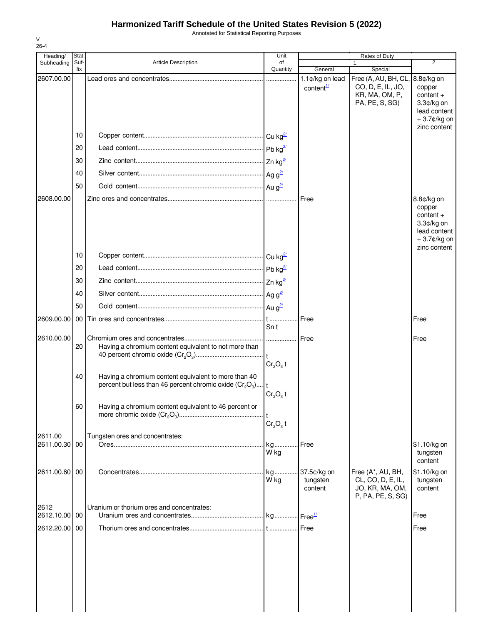Annotated for Statistical Reporting Purposes

| ۰. |  |
|----|--|

| Heading/                       | Stat.       |                                                                                                                                          | Unit                             |                                          | Rates of Duty                                                                            |                                                                                                  |
|--------------------------------|-------------|------------------------------------------------------------------------------------------------------------------------------------------|----------------------------------|------------------------------------------|------------------------------------------------------------------------------------------|--------------------------------------------------------------------------------------------------|
| Subheading                     | Suf-<br>fix | Article Description                                                                                                                      | of<br>Quantity                   | General                                  | 1<br>Special                                                                             | $\overline{2}$                                                                                   |
| 2607.00.00                     |             |                                                                                                                                          |                                  | 1.1¢/kg on lead<br>content <sup>1/</sup> | Free (A, AU, BH, CL, 8.8¢/kg on<br>CO, D, E, IL, JO,<br>KR, MA, OM, P,<br>PA, PE, S, SG) | copper<br>$content +$<br>$3.3¢/kg$ on<br>lead content<br>+3.7¢/kg on                             |
|                                | 10          |                                                                                                                                          |                                  |                                          |                                                                                          | zinc content                                                                                     |
|                                | 20          |                                                                                                                                          |                                  |                                          |                                                                                          |                                                                                                  |
|                                | 30          |                                                                                                                                          |                                  |                                          |                                                                                          |                                                                                                  |
|                                | 40          |                                                                                                                                          |                                  |                                          |                                                                                          |                                                                                                  |
|                                | 50          |                                                                                                                                          |                                  |                                          |                                                                                          |                                                                                                  |
| 2608.00.00                     |             |                                                                                                                                          |                                  | Free                                     |                                                                                          | 8.8¢/kg on<br>copper<br>$content +$<br>3.3¢/kg on<br>lead content<br>+3.7¢/kg on<br>zinc content |
|                                | 10          |                                                                                                                                          |                                  |                                          |                                                                                          |                                                                                                  |
|                                | 20          |                                                                                                                                          |                                  |                                          |                                                                                          |                                                                                                  |
|                                | 30          |                                                                                                                                          |                                  |                                          |                                                                                          |                                                                                                  |
|                                | 40          |                                                                                                                                          |                                  |                                          |                                                                                          |                                                                                                  |
|                                | 50          |                                                                                                                                          |                                  |                                          |                                                                                          |                                                                                                  |
| 2609.00.00                     | 00          |                                                                                                                                          | Sn t                             | Free                                     |                                                                                          | Free                                                                                             |
| 2610.00.00                     | 20          | Having a chromium content equivalent to not more than                                                                                    | $Cr2O3$ t                        | Free                                     |                                                                                          | Free                                                                                             |
|                                | 40          | Having a chromium content equivalent to more than 40<br>percent but less than 46 percent chromic oxide (Cr <sub>2</sub> O <sub>3</sub> ) | $Cr2O3$ t                        |                                          |                                                                                          |                                                                                                  |
|                                | 60          | Having a chromium content equivalent to 46 percent or                                                                                    | Cr <sub>2</sub> O <sub>3</sub> t |                                          |                                                                                          |                                                                                                  |
| 2611.00                        |             | Tungsten ores and concentrates:                                                                                                          |                                  |                                          |                                                                                          |                                                                                                  |
| 2611.00.30 00                  |             |                                                                                                                                          | kg<br>W kg                       | Free                                     |                                                                                          | \$1.10/kg on<br>tungsten<br>content                                                              |
| 2611.00.60 00                  |             |                                                                                                                                          | W kg                             | tungsten<br>content                      | Free (A*, AU, BH,<br>CL, CO, D, E, IL,<br>JO, KR, MA, OM,<br>P, PA, PE, S, SG)           | \$1.10/kg on<br>tungsten<br>content                                                              |
| 2612                           |             | Uranium or thorium ores and concentrates:                                                                                                |                                  |                                          |                                                                                          |                                                                                                  |
| 2612.10.00 00<br>2612.20.00 00 |             |                                                                                                                                          |                                  |                                          |                                                                                          | Free<br>Free                                                                                     |
|                                |             |                                                                                                                                          |                                  |                                          |                                                                                          |                                                                                                  |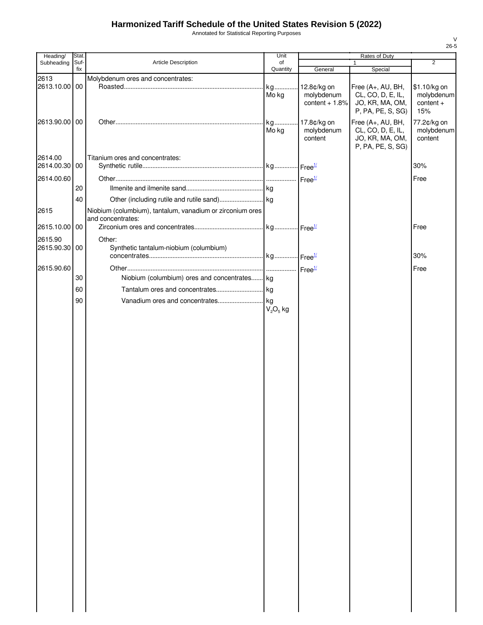Annotated for Statistical Reporting Purposes

| Heading/      | Stat.       |                                                           | Unit           |                 | Rates of Duty           |                |
|---------------|-------------|-----------------------------------------------------------|----------------|-----------------|-------------------------|----------------|
| Subheading    | Suf-<br>fix | Article Description                                       | of<br>Quantity | General         | $\mathbf{1}$<br>Special | $\overline{2}$ |
| 2613          |             | Molybdenum ores and concentrates:                         |                |                 |                         |                |
| 2613.10.00 00 |             |                                                           | kg             | 12.8¢/kg on     | Free (A+, AU, BH,       | \$1.10/kg on   |
|               |             |                                                           | Mo kg          | molybdenum      | CL, CO, D, E, IL,       | molybdenum     |
|               |             |                                                           |                | content $+1.8%$ | JO, KR, MA, OM,         | content +      |
|               |             |                                                           |                |                 | P, PA, PE, S, SG)       | 15%            |
| 2613.90.00 00 |             |                                                           |                | 17.8¢/kg on     | Free (A+, AU, BH,       | 77.2¢/kg on    |
|               |             |                                                           | Mo kg          | molybdenum      | CL, CO, D, E, IL,       | molybdenum     |
|               |             |                                                           |                | content         | JO, KR, MA, OM,         | content        |
|               |             |                                                           |                |                 | P, PA, PE, S, SG)       |                |
| 2614.00       |             | Titanium ores and concentrates:                           |                |                 |                         |                |
| 2614.00.30 00 |             |                                                           |                |                 |                         | 30%            |
|               |             |                                                           |                |                 |                         |                |
| 2614.00.60    |             |                                                           |                |                 |                         | Free           |
|               | 20          |                                                           |                |                 |                         |                |
|               | 40          |                                                           |                |                 |                         |                |
| 2615          |             | Niobium (columbium), tantalum, vanadium or zirconium ores |                |                 |                         |                |
|               |             | and concentrates:                                         |                |                 |                         |                |
| 2615.10.00 00 |             |                                                           |                |                 |                         | Free           |
|               |             |                                                           |                |                 |                         |                |
| 2615.90       |             | Other:                                                    |                |                 |                         |                |
| 2615.90.30 00 |             | Synthetic tantalum-niobium (columbium)                    |                |                 |                         |                |
|               |             |                                                           |                |                 |                         | 30%            |
| 2615.90.60    |             |                                                           |                |                 |                         | Free           |
|               | 30          | Niobium (columbium) ores and concentrates kg              |                |                 |                         |                |
|               | 60          |                                                           |                |                 |                         |                |
|               |             |                                                           |                |                 |                         |                |
|               | 90          |                                                           |                |                 |                         |                |
|               |             |                                                           | $V_2O_5$ kg    |                 |                         |                |
|               |             |                                                           |                |                 |                         |                |
|               |             |                                                           |                |                 |                         |                |
|               |             |                                                           |                |                 |                         |                |
|               |             |                                                           |                |                 |                         |                |
|               |             |                                                           |                |                 |                         |                |
|               |             |                                                           |                |                 |                         |                |
|               |             |                                                           |                |                 |                         |                |
|               |             |                                                           |                |                 |                         |                |
|               |             |                                                           |                |                 |                         |                |
|               |             |                                                           |                |                 |                         |                |
|               |             |                                                           |                |                 |                         |                |
|               |             |                                                           |                |                 |                         |                |
|               |             |                                                           |                |                 |                         |                |
|               |             |                                                           |                |                 |                         |                |
|               |             |                                                           |                |                 |                         |                |
|               |             |                                                           |                |                 |                         |                |
|               |             |                                                           |                |                 |                         |                |
|               |             |                                                           |                |                 |                         |                |
|               |             |                                                           |                |                 |                         |                |
|               |             |                                                           |                |                 |                         |                |
|               |             |                                                           |                |                 |                         |                |
|               |             |                                                           |                |                 |                         |                |
|               |             |                                                           |                |                 |                         |                |
|               |             |                                                           |                |                 |                         |                |
|               |             |                                                           |                |                 |                         |                |
|               |             |                                                           |                |                 |                         |                |
|               |             |                                                           |                |                 |                         |                |
|               |             |                                                           |                |                 |                         |                |
|               |             |                                                           |                |                 |                         |                |
|               |             |                                                           |                |                 |                         |                |
|               |             |                                                           |                |                 |                         |                |
|               |             |                                                           |                |                 |                         |                |
|               |             |                                                           |                |                 |                         |                |
|               |             |                                                           |                |                 |                         |                |
|               |             |                                                           |                |                 |                         |                |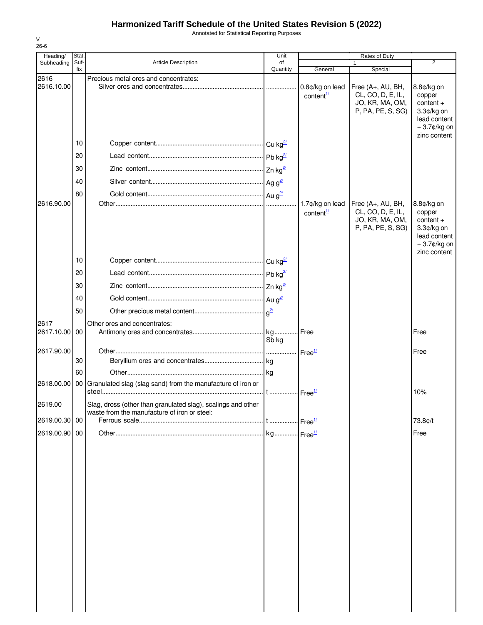Annotated for Statistical Reporting Purposes

| Heading/      | Stat.       |                                                              | Unit            |                                          | Rates of Duty                                                                  |                                                                                                  |
|---------------|-------------|--------------------------------------------------------------|-----------------|------------------------------------------|--------------------------------------------------------------------------------|--------------------------------------------------------------------------------------------------|
| Subheading    | Suf-<br>fix | <b>Article Description</b>                                   | of<br>Quantity  | General                                  | $\mathbf{1}$<br>Special                                                        | 2                                                                                                |
| 2616          |             | Precious metal ores and concentrates:                        |                 |                                          |                                                                                |                                                                                                  |
| 2616.10.00    |             |                                                              |                 | 0.8¢/kg on lead<br>content <sup>1/</sup> | Free (A+, AU, BH,<br>CL, CO, D, E, IL,<br>JO, KR, MA, OM,<br>P, PA, PE, S, SG) | 8.8¢/kg on<br>copper<br>$content +$<br>3.3¢/kg on<br>lead content<br>+3.7¢/kg on<br>zinc content |
|               | 10          |                                                              |                 |                                          |                                                                                |                                                                                                  |
|               | 20          |                                                              |                 |                                          |                                                                                |                                                                                                  |
|               | 30          |                                                              | Zn $kg^2$       |                                          |                                                                                |                                                                                                  |
|               | 40          |                                                              |                 |                                          |                                                                                |                                                                                                  |
|               | 80          |                                                              |                 |                                          |                                                                                |                                                                                                  |
| 2616.90.00    |             |                                                              |                 | 1.7¢/kg on lead<br>content $\frac{1}{2}$ | Free (A+, AU, BH,<br>CL, CO, D, E, IL,<br>JO, KR, MA, OM,<br>P, PA, PE, S, SG) | 8.8¢/kg on<br>copper<br>$content +$<br>3.3¢/kg on<br>lead content<br>+3.7¢/kg on                 |
|               | 10          |                                                              |                 |                                          |                                                                                | zinc content                                                                                     |
|               | 20          |                                                              |                 |                                          |                                                                                |                                                                                                  |
|               | 30          |                                                              |                 |                                          |                                                                                |                                                                                                  |
|               | 40          |                                                              |                 |                                          |                                                                                |                                                                                                  |
|               | 50          |                                                              | a <sup>2/</sup> |                                          |                                                                                |                                                                                                  |
| 2617          |             | Other ores and concentrates:                                 |                 |                                          |                                                                                |                                                                                                  |
| 2617.10.00    | 00          |                                                              |                 |                                          |                                                                                | Free                                                                                             |
|               |             |                                                              | Sb kg           |                                          |                                                                                |                                                                                                  |
| 2617.90.00    | 30          |                                                              |                 | Free <sup>1/</sup>                       |                                                                                | Free                                                                                             |
|               | 60          |                                                              |                 |                                          |                                                                                |                                                                                                  |
| 2618.00.00    | 00          | Granulated slag (slag sand) from the manufacture of iron or  |                 |                                          |                                                                                |                                                                                                  |
|               |             |                                                              |                 | Free <sup>1/</sup>                       |                                                                                | 10%                                                                                              |
| 2619.00       |             | Slag, dross (other than granulated slag), scalings and other |                 |                                          |                                                                                |                                                                                                  |
| 2619.00.30 00 |             | waste from the manufacture of iron or steel:                 |                 |                                          |                                                                                | 73.8¢/t                                                                                          |
| 2619.00.90 00 |             |                                                              |                 |                                          |                                                                                | Free                                                                                             |
|               |             |                                                              |                 |                                          |                                                                                |                                                                                                  |
|               |             |                                                              |                 |                                          |                                                                                |                                                                                                  |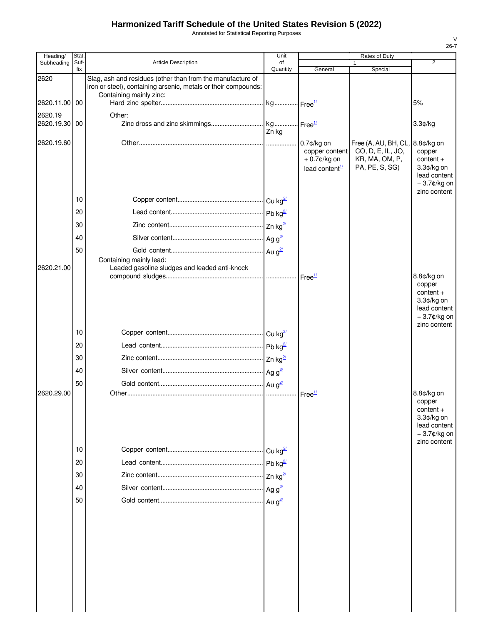Annotated for Statistical Reporting Purposes

| Heading/              | Stat        |                                                                                                                                                         | Unit           |                                                                      | <b>Rates of Duty</b>                                                                     | 26-7                                                                                                |
|-----------------------|-------------|---------------------------------------------------------------------------------------------------------------------------------------------------------|----------------|----------------------------------------------------------------------|------------------------------------------------------------------------------------------|-----------------------------------------------------------------------------------------------------|
| Subheading            | Suf-<br>fix | <b>Article Description</b>                                                                                                                              | of<br>Quantity | General                                                              | $\mathbf{1}$<br>Special                                                                  | $\overline{2}$                                                                                      |
| 2620                  |             | Slag, ash and residues (other than from the manufacture of<br>iron or steel), containing arsenic, metals or their compounds:<br>Containing mainly zinc: |                |                                                                      |                                                                                          |                                                                                                     |
| 2620.11.00 00         |             |                                                                                                                                                         |                |                                                                      |                                                                                          | 5%                                                                                                  |
| 2620.19<br>2620.19.30 | 00          | Other:                                                                                                                                                  | Zn kg          |                                                                      |                                                                                          | 3.3¢/kg                                                                                             |
| 2620.19.60            |             |                                                                                                                                                         |                | 0.7¢/kg on<br>copper content<br>$+0.7$ ¢/kg on<br>lead content $1/2$ | Free (A, AU, BH, CL, 8.8¢/kg on<br>CO, D, E, IL, JO,<br>KR, MA, OM, P,<br>PA, PE, S, SG) | copper<br>$content +$<br>3.3¢/kg on<br>lead content<br>+3.7¢/kg on                                  |
|                       | 10          |                                                                                                                                                         |                |                                                                      |                                                                                          | zinc content                                                                                        |
|                       | 20          |                                                                                                                                                         |                |                                                                      |                                                                                          |                                                                                                     |
|                       | 30          |                                                                                                                                                         |                |                                                                      |                                                                                          |                                                                                                     |
|                       | 40          |                                                                                                                                                         |                |                                                                      |                                                                                          |                                                                                                     |
|                       | 50          |                                                                                                                                                         |                |                                                                      |                                                                                          |                                                                                                     |
| 2620.21.00            |             | Containing mainly lead:<br>Leaded gasoline sludges and leaded anti-knock                                                                                |                |                                                                      |                                                                                          | 8.8¢/kg on                                                                                          |
|                       |             |                                                                                                                                                         |                |                                                                      |                                                                                          | copper<br>$content +$<br>3.3¢/kg on<br>lead content<br>+3.7¢/kg on<br>zinc content                  |
|                       | 10          |                                                                                                                                                         |                |                                                                      |                                                                                          |                                                                                                     |
|                       | 20          |                                                                                                                                                         |                |                                                                      |                                                                                          |                                                                                                     |
|                       | 30          |                                                                                                                                                         |                |                                                                      |                                                                                          |                                                                                                     |
|                       | 40          |                                                                                                                                                         |                |                                                                      |                                                                                          |                                                                                                     |
|                       | 50          |                                                                                                                                                         |                |                                                                      |                                                                                          |                                                                                                     |
| 2620.29.00            |             |                                                                                                                                                         |                | $\cdot$ Free <sup>1/</sup>                                           |                                                                                          | 8.8¢/kg on<br>copper<br>$content +$<br>3.3¢/kg on<br>lead content<br>$+3.7$ ¢/kg on<br>zinc content |
|                       | 10          |                                                                                                                                                         |                |                                                                      |                                                                                          |                                                                                                     |
|                       | 20          |                                                                                                                                                         |                |                                                                      |                                                                                          |                                                                                                     |
|                       | 30          |                                                                                                                                                         |                |                                                                      |                                                                                          |                                                                                                     |
|                       | 40          |                                                                                                                                                         |                |                                                                      |                                                                                          |                                                                                                     |
|                       | 50          |                                                                                                                                                         |                |                                                                      |                                                                                          |                                                                                                     |
|                       |             |                                                                                                                                                         |                |                                                                      |                                                                                          |                                                                                                     |
|                       |             |                                                                                                                                                         |                |                                                                      |                                                                                          |                                                                                                     |
|                       |             |                                                                                                                                                         |                |                                                                      |                                                                                          |                                                                                                     |
|                       |             |                                                                                                                                                         |                |                                                                      |                                                                                          |                                                                                                     |

V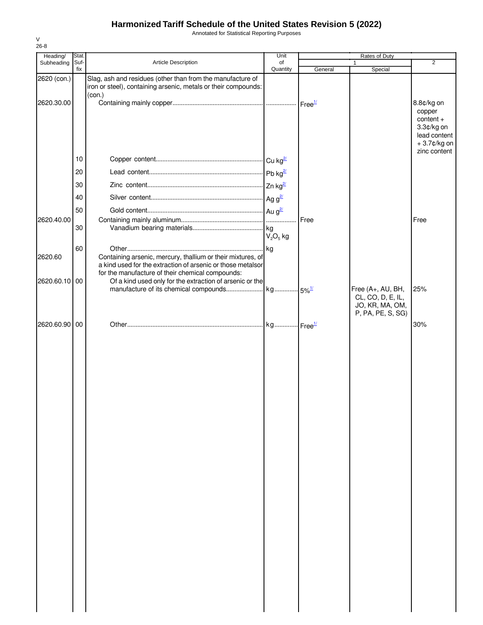Annotated for Statistical Reporting Purposes

| Heading/    | Stat.       |                                                                                                                                                                                | Unit           |                    | Rates of Duty                                                                  |                                                                                  |
|-------------|-------------|--------------------------------------------------------------------------------------------------------------------------------------------------------------------------------|----------------|--------------------|--------------------------------------------------------------------------------|----------------------------------------------------------------------------------|
| Subheading  | Suf-<br>fix | Article Description                                                                                                                                                            | of<br>Quantity | General            | 1<br>Special                                                                   | 2                                                                                |
| 2620 (con.) |             | Slag, ash and residues (other than from the manufacture of<br>iron or steel), containing arsenic, metals or their compounds:<br>(con.)                                         |                |                    |                                                                                |                                                                                  |
| 2620.30.00  |             |                                                                                                                                                                                |                | Free <sup>1/</sup> |                                                                                | 8.8¢/kg on<br>copper<br>$content +$<br>3.3¢/kg on<br>lead content<br>+3.7¢/kg on |
|             | 10          |                                                                                                                                                                                |                |                    |                                                                                | zinc content                                                                     |
|             | 20          |                                                                                                                                                                                |                |                    |                                                                                |                                                                                  |
|             | 30          |                                                                                                                                                                                |                |                    |                                                                                |                                                                                  |
|             | 40          |                                                                                                                                                                                |                |                    |                                                                                |                                                                                  |
|             | 50          |                                                                                                                                                                                |                |                    |                                                                                |                                                                                  |
| 2620.40.00  |             |                                                                                                                                                                                |                | Free               |                                                                                | Free                                                                             |
|             | 30          |                                                                                                                                                                                | $V_2O_5$ kg    |                    |                                                                                |                                                                                  |
|             | 60          |                                                                                                                                                                                |                |                    |                                                                                |                                                                                  |
| 2620.60     |             | Containing arsenic, mercury, thallium or their mixtures, of<br>a kind used for the extraction of arsenic or those metalsor<br>for the manufacture of their chemical compounds: |                |                    |                                                                                |                                                                                  |
| 2620.60.10  | 00          | Of a kind used only for the extraction of arsenic or the                                                                                                                       |                |                    |                                                                                |                                                                                  |
|             |             |                                                                                                                                                                                |                |                    | Free (A+, AU, BH,<br>CL, CO, D, E, IL,<br>JO, KR, MA, OM,<br>P, PA, PE, S, SG) | 25%                                                                              |
| 2620.60.90  | 00          |                                                                                                                                                                                |                |                    |                                                                                | 30%                                                                              |
|             |             |                                                                                                                                                                                |                |                    |                                                                                |                                                                                  |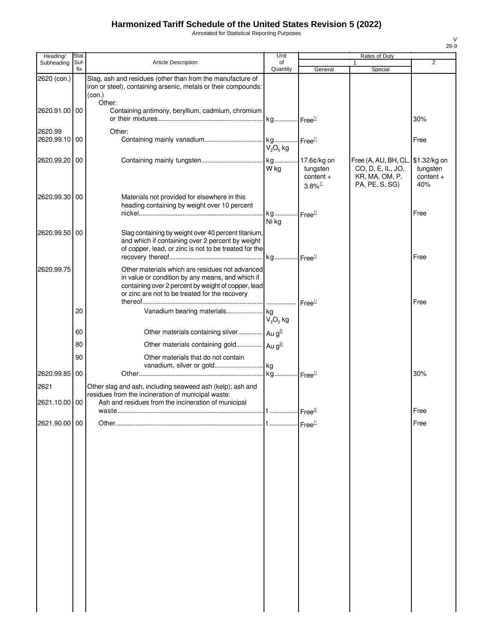Annotated for Statistical Reporting Purposes

| Heading/                 | Stat        |                                                                                                                                                                                                              | Unit                               |                                                                    | Rates of Duty                                                                              |                                |
|--------------------------|-------------|--------------------------------------------------------------------------------------------------------------------------------------------------------------------------------------------------------------|------------------------------------|--------------------------------------------------------------------|--------------------------------------------------------------------------------------------|--------------------------------|
| Subheading               | Suf-<br>fix | <b>Article Description</b>                                                                                                                                                                                   | of<br>Quantity                     | General                                                            | Special                                                                                    | 2                              |
| 2620 (con.)              |             | Slag, ash and residues (other than from the manufacture of<br>iron or steel), containing arsenic, metals or their compounds:<br>(con.)                                                                       |                                    |                                                                    |                                                                                            |                                |
| 2620.91.00 00            |             | Other:<br>Containing antimony, beryllium, cadmium, chromium                                                                                                                                                  |                                    |                                                                    |                                                                                            | 30%                            |
| 2620.99<br>2620.99.10 00 |             | Other:                                                                                                                                                                                                       | kg Free <sup>1/</sup><br>$V2O5$ kg |                                                                    |                                                                                            | Free                           |
| 2620.99.20 00            |             |                                                                                                                                                                                                              | W kg                               | kg 17.6¢/kg on<br>tungsten<br>$content +$<br>$3.8\%$ <sup>1/</sup> | Free (A, AU, BH, CL, \$1.32/kg on<br>CO, D, E, IL, JO,<br>KR, MA, OM, P,<br>PA, PE, S, SG) | tungsten<br>$content +$<br>40% |
| 2620.99.30 00            |             | Materials not provided for elsewhere in this<br>heading containing by weight over 10 percent                                                                                                                 | kg                                 | Free <sup>1/</sup>                                                 |                                                                                            | Free                           |
|                          |             |                                                                                                                                                                                                              | Ni kg                              |                                                                    |                                                                                            |                                |
| 2620.99.50 00            |             | Slag containing by weight over 40 percent titanium,<br>and which if containing over 2 percent by weight<br>of copper, lead, or zinc is not to be treated for the                                             | kg Free <sup>1/</sup>              |                                                                    |                                                                                            | Free                           |
| 2620.99.75               |             | Other materials which are residues not advanced<br>in value or condition by any means, and which if<br>containing over 2 percent by weight of copper, lead<br>or zinc are not to be treated for the recovery |                                    |                                                                    |                                                                                            |                                |
|                          |             |                                                                                                                                                                                                              |                                    | Free <sup>1/</sup>                                                 |                                                                                            | Free                           |
|                          | 20          |                                                                                                                                                                                                              | $V_2O_5$ kg                        |                                                                    |                                                                                            |                                |
|                          | 60          | Other materials containing silver $Au g^2$                                                                                                                                                                   |                                    |                                                                    |                                                                                            |                                |
|                          | 80          | Other materials containing gold Au g <sup>2/</sup>                                                                                                                                                           |                                    |                                                                    |                                                                                            |                                |
|                          | 90          | Other materials that do not contain<br>vanadium, silver or gold kg                                                                                                                                           |                                    |                                                                    |                                                                                            |                                |
| 2620.99.85 00            |             |                                                                                                                                                                                                              |                                    |                                                                    |                                                                                            | 30%                            |
| 2621<br>2621.10.00 00    |             | Other slag and ash, including seaweed ash (kelp); ash and<br>residues from the incineration of municipal waste:<br>Ash and residues from the incineration of municipal                                       |                                    |                                                                    |                                                                                            |                                |
|                          |             |                                                                                                                                                                                                              |                                    | Free <sup>3/</sup>                                                 |                                                                                            | Free                           |
| 2621.90.00 00            |             |                                                                                                                                                                                                              |                                    | Free <sup>1/</sup>                                                 |                                                                                            | Free                           |
|                          |             |                                                                                                                                                                                                              |                                    |                                                                    |                                                                                            |                                |